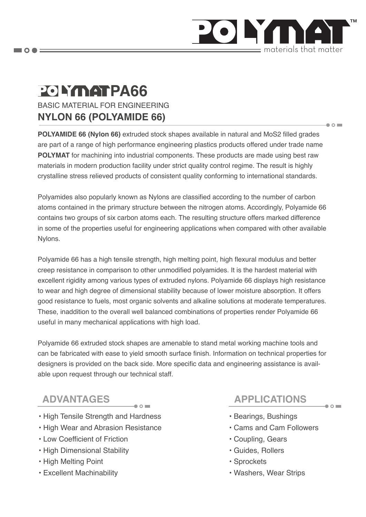

 $\bullet$   $\circ$   $\blacksquare$ 

 $\bullet$   $\circ$   $\blacksquare$ 

# BASIC MATERIAL FOR ENGINEERING **PO LYMAT PA66**

### **NYLON 66 (POLYAMIDE 66)**

**POLYAMIDE 66 (Nylon 66)** extruded stock shapes available in natural and MoS2 filled grades are part of a range of high performance engineering plastics products offered under trade name **POLYMAT** for machining into industrial components. These products are made using best raw materials in modern production facility under strict quality control regime. The result is highly crystalline stress relieved products of consistent quality conforming to international standards.

Polyamides also popularly known as Nylons are classified according to the number of carbon atoms contained in the primary structure between the nitrogen atoms. Accordingly, Polyamide 66 contains two groups of six carbon atoms each. The resulting structure offers marked difference in some of the properties useful for engineering applications when compared with other available Nylons.

Polyamide 66 has a high tensile strength, high melting point, high flexural modulus and better creep resistance in comparison to other unmodified polyamides. It is the hardest material with excellent rigidity among various types of extruded nylons. Polyamide 66 displays high resistance to wear and high degree of dimensional stability because of lower moisture absorption. It offers good resistance to fuels, most organic solvents and alkaline solutions at moderate temperatures. These, inaddition to the overall well balanced combinations of properties render Polyamide 66 useful in many mechanical applications with high load.

Polyamide 66 extruded stock shapes are amenable to stand metal working machine tools and can be fabricated with ease to yield smooth surface finish. Information on technical properties for designers is provided on the back side. More specific data and engineering assistance is available upon request through our technical staff.

## **ADVANTAGES APPLICATIONS**

- High Tensile Strength and Hardness
- High Wear and Abrasion Resistance
- Low Coefficient of Friction
- High Dimensional Stability
- High Melting Point
- Excellent Machinability

- Bearings, Bushings
- Cams and Cam Followers
- Coupling, Gears
- Guides, Rollers
- Sprockets
- Washers, Wear Strips